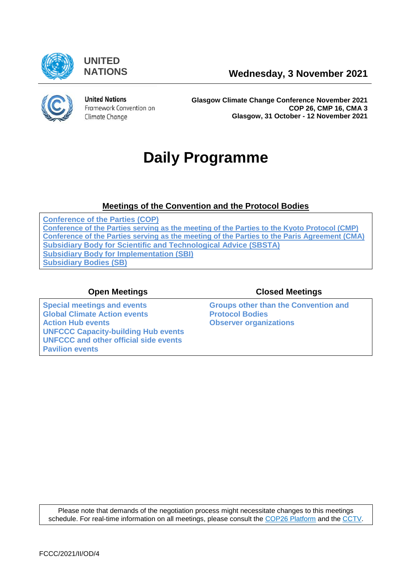

**UNITED**



**United Nations** Framework Convention on Climate Change

**Glasgow Climate Change Conference November 2021 COP 26, CMP 16, CMA 3 Glasgow, 31 October - 12 November 2021**

# **Daily Programme**

### **[Meetings of the Convention and the Protocol Bodies](https://grandreserva.unfccc.int/grandreserva/public/schedule?time=2021-11-03&conference_id=80&meeting_type=&body=3,4,5,6,7,10&webcast=0)**

**[Conference of the Parties \(COP\)](https://grandreserva.unfccc.int/grandreserva/public/schedule?time=2021-11-03&conference_id=80&meeting_type=&body=4&webcast=0) [Conference of the Parties serving as the meeting of the Parties to the Kyoto Protocol \(CMP\)](https://grandreserva.unfccc.int/grandreserva/public/schedule?time=2021-11-03&conference_id=80&meeting_type=&body=3&webcast=0) [Conference of the Parties serving as the meeting of the Parties to the Paris Agreement \(CMA\)](https://grandreserva.unfccc.int/grandreserva/public/schedule?time=2021-11-03&conference_id=80&meeting_type=&body=10&webcast=0) [Subsidiary Body for Scientific and Technological Advice \(SBSTA\)](https://grandreserva.unfccc.int/grandreserva/public/schedule?time=2021-11-03&conference_id=80&meeting_type=&body=6&webcast=0) [Subsidiary Body for Implementation \(SBI\)](https://grandreserva.unfccc.int/grandreserva/public/schedule?time=2021-11-03&conference_id=80&meeting_type=&body=5&webcast=0) [Subsidiary Bodies \(SB\)](https://grandreserva.unfccc.int/grandreserva/public/schedule?time=2021-11-03&conference_id=80&meeting_type=&body=7&webcast=0)**

**[Special meetings and events](#page-1-0) [Global Climate Action events](#page-1-1)** [Action Hub events](#page-2-0) **CODEN Action Hub events [Observer organizations](#page-5-0) [UNFCCC Capacity-building Hub events](#page-3-0) [UNFCCC and other official side events](#page-3-1) [Pavilion events](#page-3-2)**

### **Open Meetings Closed Meetings**

**Groups other than the Convention and Protocol Bodies**

Please note that demands of the negotiation process might necessitate changes to this meetings schedule. For real-time information on all meetings, please consult the [COP26 Platform](https://unfccc.int/cop26/virtual) and the [CCTV.](https://grandreserva.unfccc.int/grandreserva/public/schedule)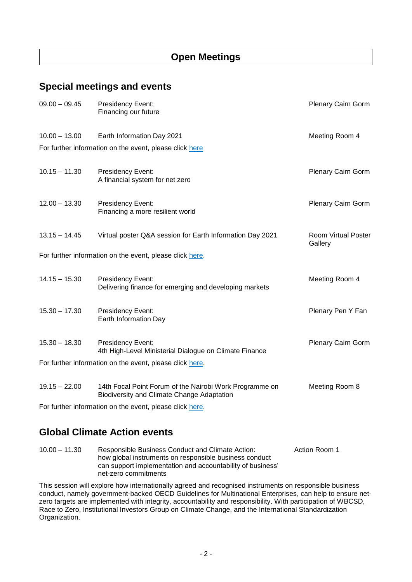### **Open Meetings**

### <span id="page-1-0"></span>**Special meetings and events**

| $09.00 - 09.45$ | Presidency Event:<br>Financing our future                                                             | <b>Plenary Cairn Gorm</b>      |
|-----------------|-------------------------------------------------------------------------------------------------------|--------------------------------|
| $10.00 - 13.00$ | Earth Information Day 2021<br>For further information on the event, please click here                 | Meeting Room 4                 |
|                 |                                                                                                       |                                |
| $10.15 - 11.30$ | Presidency Event:<br>A financial system for net zero                                                  | Plenary Cairn Gorm             |
| $12.00 - 13.30$ | Presidency Event:<br>Financing a more resilient world                                                 | Plenary Cairn Gorm             |
| $13.15 - 14.45$ | Virtual poster Q&A session for Earth Information Day 2021                                             | Room Virtual Poster<br>Gallery |
|                 | For further information on the event, please click here.                                              |                                |
|                 |                                                                                                       |                                |
| $14.15 - 15.30$ | Presidency Event:<br>Delivering finance for emerging and developing markets                           | Meeting Room 4                 |
| $15.30 - 17.30$ | Presidency Event:<br>Earth Information Day                                                            | Plenary Pen Y Fan              |
| $15.30 - 18.30$ | Presidency Event:<br>4th High-Level Ministerial Dialogue on Climate Finance                           | <b>Plenary Cairn Gorm</b>      |
|                 | For further information on the event, please click here.                                              |                                |
|                 |                                                                                                       |                                |
| $19.15 - 22.00$ | 14th Focal Point Forum of the Nairobi Work Programme on<br>Biodiversity and Climate Change Adaptation | Meeting Room 8                 |

For further information on the event, please click [here.](https://unfccc.int/event/FPF14-NWP-biodiversity-adaptation)

### <span id="page-1-1"></span>**Global Climate Action events**

| $10.00 - 11.30$ | Responsible Business Conduct and Climate Action:           | Action Room 1 |
|-----------------|------------------------------------------------------------|---------------|
|                 | how global instruments on responsible business conduct     |               |
|                 | can support implementation and accountability of business' |               |
|                 | net-zero commitments                                       |               |

This session will explore how internationally agreed and recognised instruments on responsible business conduct, namely government-backed OECD Guidelines for Multinational Enterprises, can help to ensure netzero targets are implemented with integrity, accountability and responsibility. With participation of WBCSD, Race to Zero, Institutional Investors Group on Climate Change, and the International Standardization Organization.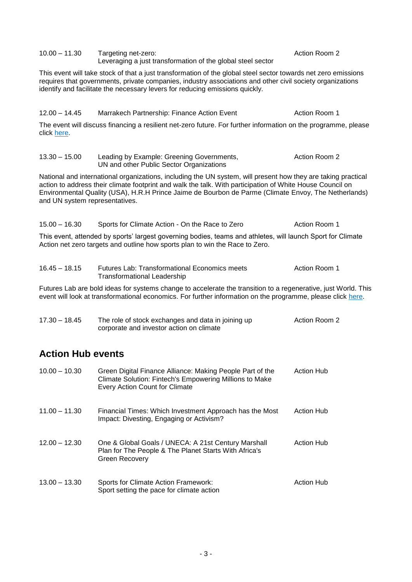| 10.00 - 11.30 | Targeting net-zero:                                         | Action Room 2 |
|---------------|-------------------------------------------------------------|---------------|
|               | Leveraging a just transformation of the global steel sector |               |

This event will take stock of that a just transformation of the global steel sector towards net zero emissions requires that governments, private companies, industry associations and other civil society organizations identify and facilitate the necessary levers for reducing emissions quickly.

#### 12.00 – 14.45 Marrakech Partnership: Finance Action Event Action Room 1

The event will discuss financing a resilient net-zero future. For further information on the programme, please click [here.](https://unfccc.int/sites/default/files/resource/Finance%20-%20MPGCA%20COP%2026%20Final%20Programme%20EDIT.pdf)

| $13.30 - 15.00$                                                                                                                                                                             | Leading by Example: Greening Governments,<br>UN and other Public Sector Organizations                                                                                                                                                                                                                                              | Action Room 2 |  |
|---------------------------------------------------------------------------------------------------------------------------------------------------------------------------------------------|------------------------------------------------------------------------------------------------------------------------------------------------------------------------------------------------------------------------------------------------------------------------------------------------------------------------------------|---------------|--|
| and UN system representatives.                                                                                                                                                              | National and international organizations, including the UN system, will present how they are taking practical<br>action to address their climate footprint and walk the talk. With participation of White House Council on<br>Environmental Quality (USA), H.R.H Prince Jaime de Bourbon de Parme (Climate Envoy, The Netherlands) |               |  |
| $15.00 - 16.30$                                                                                                                                                                             | Sports for Climate Action - On the Race to Zero                                                                                                                                                                                                                                                                                    | Action Room 1 |  |
| This event, attended by sports' largest governing bodies, teams and athletes, will launch Sport for Climate<br>Action net zero targets and outline how sports plan to win the Race to Zero. |                                                                                                                                                                                                                                                                                                                                    |               |  |
| $16.45 - 18.15$                                                                                                                                                                             | <b>Futures Lab: Transformational Economics meets</b><br>Transformational Leadership                                                                                                                                                                                                                                                | Action Room 1 |  |

Futures Lab are bold ideas for systems change to accelerate the transition to a regenerative, just World. This event will look at transformational economics. For further information on the programme, please click [here.](https://unfccc.int/sites/default/files/resource/Transformational%20Economics_%20Futures%20Labs%20Programme.pdf)

| $17.30 - 18.45$ | The role of stock exchanges and data in joining up | Action Room 2 |
|-----------------|----------------------------------------------------|---------------|
|                 | corporate and investor action on climate           |               |

### <span id="page-2-0"></span>**Action Hub events**

| $10.00 - 10.30$ | Green Digital Finance Alliance: Making People Part of the<br>Climate Solution: Fintech's Empowering Millions to Make<br><b>Every Action Count for Climate</b> | <b>Action Hub</b> |
|-----------------|---------------------------------------------------------------------------------------------------------------------------------------------------------------|-------------------|
| $11.00 - 11.30$ | Financial Times: Which Investment Approach has the Most<br>Impact: Divesting, Engaging or Activism?                                                           | Action Hub        |
| $12.00 - 12.30$ | One & Global Goals / UNECA: A 21st Century Marshall<br>Plan for The People & The Planet Starts With Africa's<br>Green Recovery                                | <b>Action Hub</b> |
| $13.00 - 13.30$ | Sports for Climate Action Framework:<br>Sport setting the pace for climate action                                                                             | Action Hub        |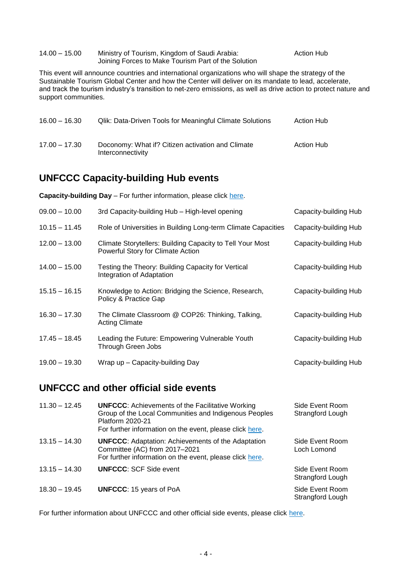<span id="page-3-2"></span>

| 14.00 – 15.00 | Ministry of Tourism, Kingdom of Saudi Arabia:       | <b>Action Hub</b> |
|---------------|-----------------------------------------------------|-------------------|
|               | Joining Forces to Make Tourism Part of the Solution |                   |

This event will announce countries and international organizations who will shape the strategy of the Sustainable Tourism Global Center and how the Center will deliver on its mandate to lead, accelerate, and track the tourism industry's transition to net-zero emissions, as well as drive action to protect nature and support communities.

| $16.00 - 16.30$ | <b>Qlik: Data-Driven Tools for Meaningful Climate Solutions</b>        | Action Hub        |
|-----------------|------------------------------------------------------------------------|-------------------|
| $17.00 - 17.30$ | Doconomy: What if? Citizen activation and Climate<br>Interconnectivity | <b>Action Hub</b> |

### <span id="page-3-0"></span>**UNFCCC Capacity-building Hub events**

**Capacity-building Day** – For further information, please click [here.](https://unfccc.int/pccb/CB_Hub_3/CB_day)

| $09.00 - 10.00$ | 3rd Capacity-building Hub - High-level opening                                                 | Capacity-building Hub |
|-----------------|------------------------------------------------------------------------------------------------|-----------------------|
| $10.15 - 11.45$ | Role of Universities in Building Long-term Climate Capacities                                  | Capacity-building Hub |
| $12.00 - 13.00$ | Climate Storytellers: Building Capacity to Tell Your Most<br>Powerful Story for Climate Action | Capacity-building Hub |
| $14.00 - 15.00$ | Testing the Theory: Building Capacity for Vertical<br>Integration of Adaptation                | Capacity-building Hub |
| $15.15 - 16.15$ | Knowledge to Action: Bridging the Science, Research,<br>Policy & Practice Gap                  | Capacity-building Hub |
| $16.30 - 17.30$ | The Climate Classroom @ COP26: Thinking, Talking,<br><b>Acting Climate</b>                     | Capacity-building Hub |
| $17.45 - 18.45$ | Leading the Future: Empowering Vulnerable Youth<br>Through Green Jobs                          | Capacity-building Hub |
| $19.00 - 19.30$ | Wrap up – Capacity-building Day                                                                | Capacity-building Hub |

### <span id="page-3-1"></span>**UNFCCC and other official side events**

| $11.30 - 12.45$ | <b>UNFCCC:</b> Achievements of the Facilitative Working<br>Group of the Local Communities and Indigenous Peoples<br>Platform 2020-21<br>For further information on the event, please click here. | Side Event Room<br>Strangford Lough |
|-----------------|--------------------------------------------------------------------------------------------------------------------------------------------------------------------------------------------------|-------------------------------------|
| $13.15 - 14.30$ | <b>UNFCCC:</b> Adaptation: Achievements of the Adaptation<br>Committee (AC) from 2017-2021<br>For further information on the event, please click here.                                           | Side Event Room<br>Loch Lomond      |
| $13.15 - 14.30$ | <b>UNFCCC: SCF Side event</b>                                                                                                                                                                    | Side Event Room<br>Strangford Lough |
| $18.30 - 19.45$ | <b>UNFCCC: 15 years of PoA</b>                                                                                                                                                                   | Side Event Room<br>Strangford Lough |

For further information about UNFCCC and other official side events, please click [here.](https://seors.unfccc.int/applications/seors/reports/events_list.html)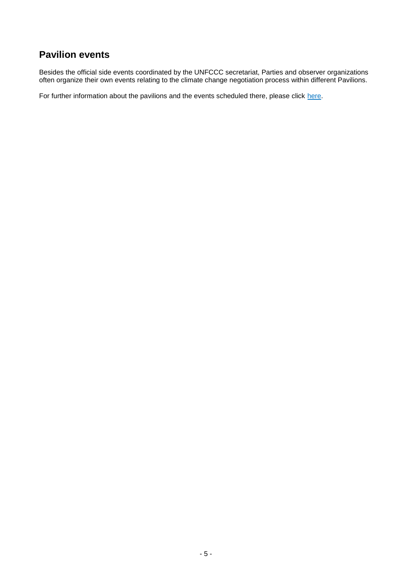## **Pavilion events**

Besides the official side events coordinated by the UNFCCC secretariat, Parties and observer organizations often organize their own events relating to the climate change negotiation process within different Pavilions.

For further information about the pavilions and the events scheduled there, please click [here.](https://unfccc.int/cop26/pavilions)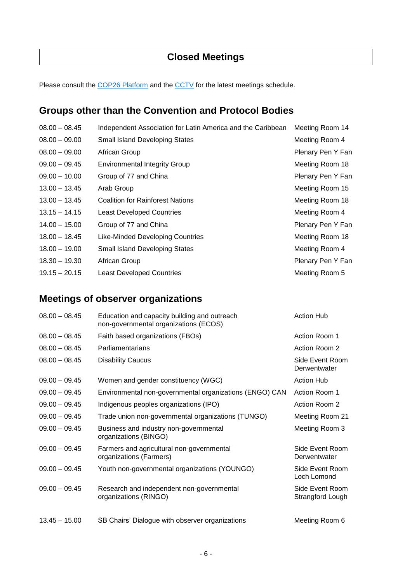### **Closed Meetings**

Please consult the [COP26 Platform](https://unfccc.int/cop26/virtual) and the [CCTV](https://grandreserva.unfccc.int/grandreserva/public/schedule) for the latest meetings schedule.

### **Groups other than the Convention and Protocol Bodies**

| $08.00 - 08.45$ | Independent Association for Latin America and the Caribbean | Meeting Room 14   |
|-----------------|-------------------------------------------------------------|-------------------|
| $08.00 - 09.00$ | <b>Small Island Developing States</b>                       | Meeting Room 4    |
| $08.00 - 09.00$ | African Group                                               | Plenary Pen Y Fan |
| $09.00 - 09.45$ | <b>Environmental Integrity Group</b>                        | Meeting Room 18   |
| $09.00 - 10.00$ | Group of 77 and China                                       | Plenary Pen Y Fan |
| $13.00 - 13.45$ | Arab Group                                                  | Meeting Room 15   |
| $13.00 - 13.45$ | <b>Coalition for Rainforest Nations</b>                     | Meeting Room 18   |
| $13.15 - 14.15$ | <b>Least Developed Countries</b>                            | Meeting Room 4    |
| $14.00 - 15.00$ | Group of 77 and China                                       | Plenary Pen Y Fan |
| $18.00 - 18.45$ | Like-Minded Developing Countries                            | Meeting Room 18   |
| $18.00 - 19.00$ | <b>Small Island Developing States</b>                       | Meeting Room 4    |
| $18.30 - 19.30$ | African Group                                               | Plenary Pen Y Fan |
| $19.15 - 20.15$ | <b>Least Developed Countries</b>                            | Meeting Room 5    |

### <span id="page-5-0"></span>**Meetings of observer organizations**

| $08.00 - 08.45$ | Education and capacity building and outreach<br>non-governmental organizations (ECOS) | <b>Action Hub</b>                   |
|-----------------|---------------------------------------------------------------------------------------|-------------------------------------|
| $08.00 - 08.45$ | Faith based organizations (FBOs)                                                      | Action Room 1                       |
| $08.00 - 08.45$ | Parliamentarians                                                                      | Action Room 2                       |
| $08.00 - 08.45$ | <b>Disability Caucus</b>                                                              | Side Event Room<br>Derwentwater     |
| $09.00 - 09.45$ | Women and gender constituency (WGC)                                                   | <b>Action Hub</b>                   |
| $09.00 - 09.45$ | Environmental non-governmental organizations (ENGO) CAN                               | Action Room 1                       |
| $09.00 - 09.45$ | Indigenous peoples organizations (IPO)                                                | Action Room 2                       |
| $09.00 - 09.45$ | Trade union non-governmental organizations (TUNGO)                                    | Meeting Room 21                     |
| $09.00 - 09.45$ | Business and industry non-governmental<br>organizations (BINGO)                       | Meeting Room 3                      |
| $09.00 - 09.45$ | Farmers and agricultural non-governmental<br>organizations (Farmers)                  | Side Event Room<br>Derwentwater     |
| $09.00 - 09.45$ | Youth non-governmental organizations (YOUNGO)                                         | Side Event Room<br>Loch Lomond      |
| $09.00 - 09.45$ | Research and independent non-governmental<br>organizations (RINGO)                    | Side Event Room<br>Strangford Lough |
| $13.45 - 15.00$ | SB Chairs' Dialogue with observer organizations                                       | Meeting Room 6                      |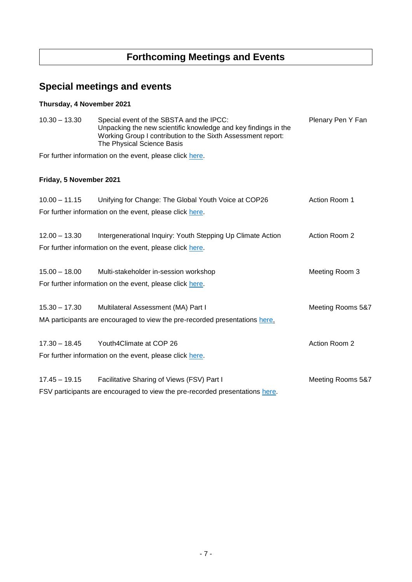# **Forthcoming Meetings and Events**

# **Special meetings and events**

### **Thursday, 4 November 2021**

| $10.30 - 13.30$         | Special event of the SBSTA and the IPCC:<br>Unpacking the new scientific knowledge and key findings in the<br>Working Group I contribution to the Sixth Assessment report:<br>The Physical Science Basis | Plenary Pen Y Fan |
|-------------------------|----------------------------------------------------------------------------------------------------------------------------------------------------------------------------------------------------------|-------------------|
|                         | For further information on the event, please click here.                                                                                                                                                 |                   |
| Friday, 5 November 2021 |                                                                                                                                                                                                          |                   |
| $10.00 - 11.15$         | Unifying for Change: The Global Youth Voice at COP26                                                                                                                                                     | Action Room 1     |
|                         | For further information on the event, please click here.                                                                                                                                                 |                   |
| $12.00 - 13.30$         | Intergenerational Inquiry: Youth Stepping Up Climate Action                                                                                                                                              | Action Room 2     |
|                         | For further information on the event, please click here.                                                                                                                                                 |                   |
| $15.00 - 18.00$         | Multi-stakeholder in-session workshop                                                                                                                                                                    | Meeting Room 3    |
|                         | For further information on the event, please click here.                                                                                                                                                 |                   |
| $15.30 - 17.30$         | Multilateral Assessment (MA) Part I                                                                                                                                                                      | Meeting Rooms 5&7 |
|                         | MA participants are encouraged to view the pre-recorded presentations here.                                                                                                                              |                   |
| $17.30 - 18.45$         | Youth4Climate at COP 26                                                                                                                                                                                  | Action Room 2     |
|                         | For further information on the event, please click here.                                                                                                                                                 |                   |
| $17.45 - 19.15$         | Facilitative Sharing of Views (FSV) Part I                                                                                                                                                               | Meeting Rooms 5&7 |
|                         | FSV participants are encouraged to view the pre-recorded presentations here.                                                                                                                             |                   |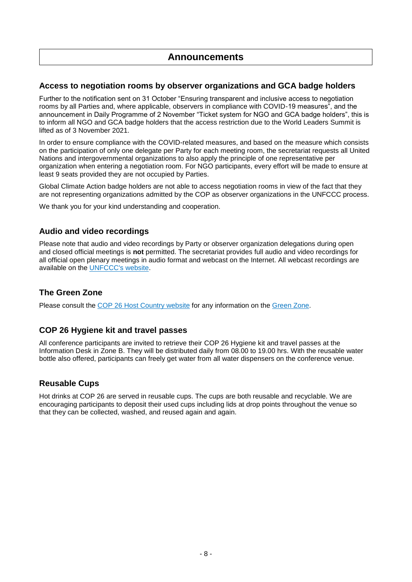### **Announcements**

#### **Access to negotiation rooms by observer organizations and GCA badge holders**

Further to the notification sent on 31 October "Ensuring transparent and inclusive access to negotiation rooms by all Parties and, where applicable, observers in compliance with COVID-19 measures", and the announcement in Daily Programme of 2 November "Ticket system for NGO and GCA badge holders", this is to inform all NGO and GCA badge holders that the access restriction due to the World Leaders Summit is lifted as of 3 November 2021.

In order to ensure compliance with the COVID-related measures, and based on the measure which consists on the participation of only one delegate per Party for each meeting room, the secretariat requests all United Nations and intergovernmental organizations to also apply the principle of one representative per organization when entering a negotiation room. For NGO participants, every effort will be made to ensure at least 9 seats provided they are not occupied by Parties.

Global Climate Action badge holders are not able to access negotiation rooms in view of the fact that they are not representing organizations admitted by the COP as observer organizations in the UNFCCC process.

We thank you for your kind understanding and cooperation.

#### **Audio and video recordings**

Please note that audio and video recordings by Party or observer organization delegations during open and closed official meetings is **not** permitted. The secretariat provides full audio and video recordings for all official open plenary meetings in audio format and webcast on the Internet. All webcast recordings are available on the [UNFCCC's website.](https://unfccc-cop26.streamworld.de/)

### **The Green Zone**

Please consult the COP 26 [Host Country website](https://ukcop26.org/) for any information on the [Green Zone.](https://ukcop26.org/the-conference/green-zone-programme-of-events/)

### **COP 26 Hygiene kit and travel passes**

All conference participants are invited to retrieve their COP 26 Hygiene kit and travel passes at the Information Desk in Zone B. They will be distributed daily from 08.00 to 19.00 hrs. With the reusable water bottle also offered, participants can freely get water from all water dispensers on the conference venue.

### **Reusable Cups**

Hot drinks at COP 26 are served in reusable cups. The cups are both reusable and recyclable. We are encouraging participants to deposit their used cups including lids at drop points throughout the venue so that they can be collected, washed, and reused again and again.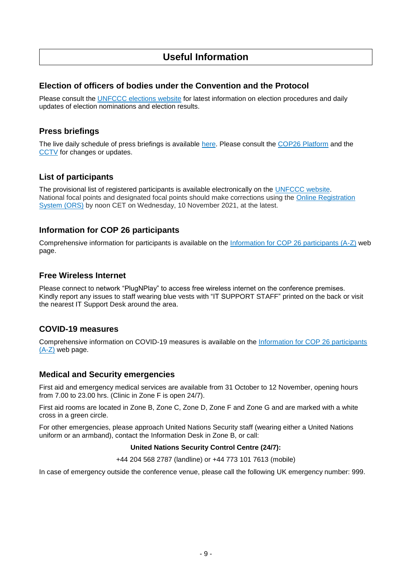### **Useful Information**

#### **Election of officers of bodies under the Convention and the Protocol**

Please consult the [UNFCCC elections website](https://unfccc.int/process-and-meetings/bodies/the-big-picture/election-and-membership) for latest information on election procedures and daily updates of election nominations and election results.

#### **Press briefings**

The live daily schedule of press briefings is available [here.](https://unfccc.int/calendar) Please consult the [COP26 Platform](https://unfccc.int/cop26/virtual) and the [CCTV](https://grandreserva.unfccc.int/grandreserva/public/schedule) for changes or updates.

### **List of participants**

The provisional list of registered participants is available electronically on the [UNFCCC website.](https://unfccc.int/documents/308163) National focal points and designated focal points should make corrections using the [Online Registration](https://eur01.safelinks.protection.outlook.com/?url=https%3A%2F%2Fonlinereg.unfccc.int%2F&data=04%7C01%7CASchunke%40unfccc.int%7C4c501aba60d145a5a06208d99c85541d%7C2a6c12ad406a4f33b686f78ff5822208%7C0%7C0%7C637712918716371568%7CUnknown%7CTWFpbGZsb3d8eyJWIjoiMC4wLjAwMDAiLCJQIjoiV2luMzIiLCJBTiI6Ik1haWwiLCJXVCI6Mn0%3D%7C1000&sdata=12ex3uauiw0u7YTXppfrJFI5ECKJ%2FRhWjs7s67LuDoI%3D&reserved=0)  [System \(ORS\)](https://eur01.safelinks.protection.outlook.com/?url=https%3A%2F%2Fonlinereg.unfccc.int%2F&data=04%7C01%7CASchunke%40unfccc.int%7C4c501aba60d145a5a06208d99c85541d%7C2a6c12ad406a4f33b686f78ff5822208%7C0%7C0%7C637712918716371568%7CUnknown%7CTWFpbGZsb3d8eyJWIjoiMC4wLjAwMDAiLCJQIjoiV2luMzIiLCJBTiI6Ik1haWwiLCJXVCI6Mn0%3D%7C1000&sdata=12ex3uauiw0u7YTXppfrJFI5ECKJ%2FRhWjs7s67LuDoI%3D&reserved=0) by noon CET on Wednesday, 10 November 2021, at the latest.

### **Information for COP 26 participants**

Comprehensive information for participants is available on the [Information for COP 26 participants \(A-Z\)](https://unfccc.int/cop26/participants-a-z) web page.

#### **Free Wireless Internet**

Please connect to network "PlugNPlay" to access free wireless internet on the conference premises. Kindly report any issues to staff wearing blue vests with "IT SUPPORT STAFF" printed on the back or visit the nearest IT Support Desk around the area.

#### **COVID-19 measures**

Comprehensive information on COVID-19 measures is available on the [Information for COP 26 participants](https://unfccc.int/cop26/participants-a-z#eq-15)   $(A-Z)$  web page.

### **Medical and Security emergencies**

First aid and emergency medical services are available from 31 October to 12 November, opening hours from 7.00 to 23.00 hrs. (Clinic in Zone F is open 24/7).

First aid rooms are located in Zone B, Zone C, Zone D, Zone F and Zone G and are marked with a white cross in a green circle.

For other emergencies, please approach United Nations Security staff (wearing either a United Nations uniform or an armband), contact the Information Desk in Zone B, or call:

#### **United Nations Security Control Centre (24/7):**

+44 204 568 2787 (landline) or +44 773 101 7613 (mobile)

In case of emergency outside the conference venue, please call the following UK emergency number: 999.